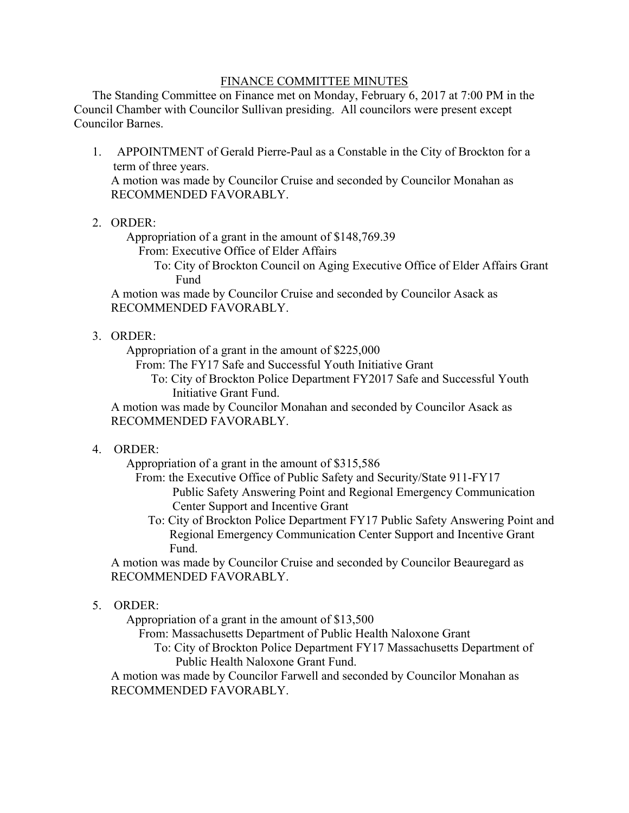#### FINANCE COMMITTEE MINUTES

 The Standing Committee on Finance met on Monday, February 6, 2017 at 7:00 PM in the Council Chamber with Councilor Sullivan presiding. All councilors were present except Councilor Barnes.

- 1. APPOINTMENT of Gerald Pierre-Paul as a Constable in the City of Brockton for a term of three years. A motion was made by Councilor Cruise and seconded by Councilor Monahan as RECOMMENDED FAVORABLY.
- 2. ORDER:

Appropriation of a grant in the amount of \$148,769.39

From: Executive Office of Elder Affairs

 To: City of Brockton Council on Aging Executive Office of Elder Affairs Grant Fund

A motion was made by Councilor Cruise and seconded by Councilor Asack as RECOMMENDED FAVORABLY.

# 3. ORDER:

Appropriation of a grant in the amount of \$225,000

From: The FY17 Safe and Successful Youth Initiative Grant

 To: City of Brockton Police Department FY2017 Safe and Successful Youth Initiative Grant Fund.

A motion was made by Councilor Monahan and seconded by Councilor Asack as RECOMMENDED FAVORABLY.

### 4. ORDER:

Appropriation of a grant in the amount of \$315,586

 From: the Executive Office of Public Safety and Security/State 911-FY17 Public Safety Answering Point and Regional Emergency Communication Center Support and Incentive Grant

 To: City of Brockton Police Department FY17 Public Safety Answering Point and Regional Emergency Communication Center Support and Incentive Grant Fund.

A motion was made by Councilor Cruise and seconded by Councilor Beauregard as RECOMMENDED FAVORABLY.

### 5. ORDER:

Appropriation of a grant in the amount of \$13,500

From: Massachusetts Department of Public Health Naloxone Grant

 To: City of Brockton Police Department FY17 Massachusetts Department of Public Health Naloxone Grant Fund.

A motion was made by Councilor Farwell and seconded by Councilor Monahan as RECOMMENDED FAVORABLY.